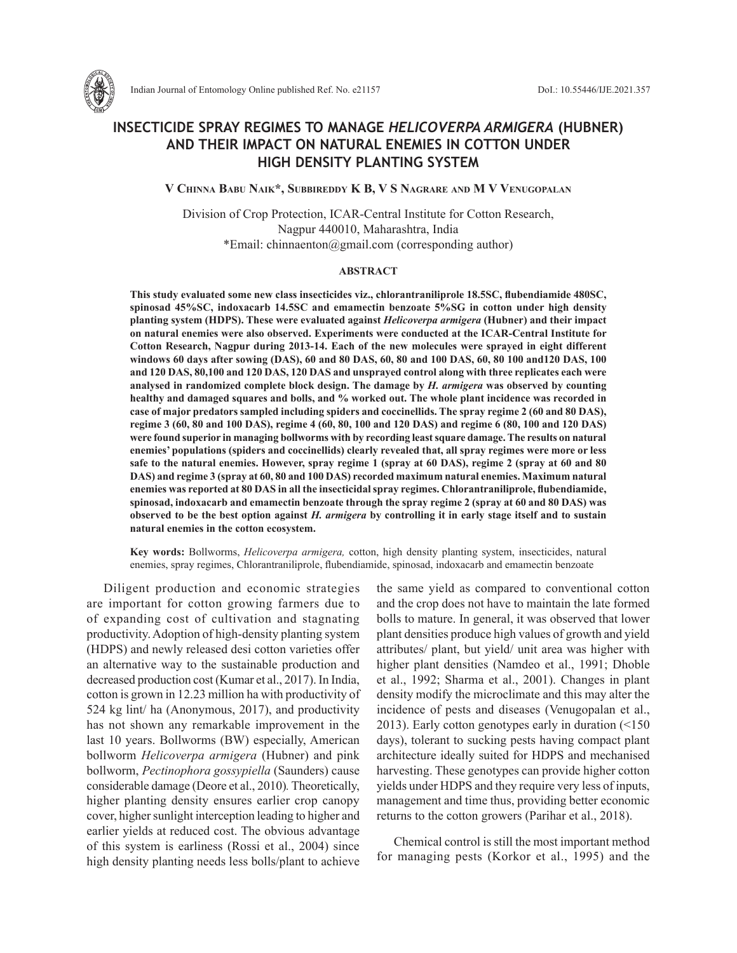

Indian Journal of Entomology Online published Ref. No. e21157 DoI.: 10.55446/IJE.2021.357

# **INSECTICIDE SPRAY REGIMES TO MANAGE** *HELICOVERPA ARMIGERA* **(HUBNER) AND THEIR IMPACT ON NATURAL ENEMIES IN COTTON UNDER HIGH DENSITY PLANTING SYSTEM**

**V Chinna Babu Naik\*, Subbireddy K B, V S Nagrare and M V Venugopalan**

Division of Crop Protection, ICAR-Central Institute for Cotton Research, Nagpur 440010, Maharashtra, India \*Email: chinnaenton@gmail.com (corresponding author)

#### **ABSTRACT**

**This study evaluated some new class insecticides viz., chlorantraniliprole 18.5SC, flubendiamide 480SC, spinosad 45%SC, indoxacarb 14.5SC and emamectin benzoate 5%SG in cotton under high density planting system (HDPS). These were evaluated against** *Helicoverpa armigera* **(Hubner) and their impact on natural enemies were also observed. Experiments were conducted at the ICAR-Central Institute for Cotton Research, Nagpur during 2013-14. Each of the new molecules were sprayed in eight different windows 60 days after sowing (DAS), 60 and 80 DAS, 60, 80 and 100 DAS, 60, 80 100 and120 DAS, 100 and 120 DAS, 80,100 and 120 DAS, 120 DAS and unsprayed control along with three replicates each were analysed in randomized complete block design. The damage by** *H. armigera* **was observed by counting healthy and damaged squares and bolls, and % worked out. The whole plant incidence was recorded in case of major predators sampled including spiders and coccinellids. The spray regime 2 (60 and 80 DAS), regime 3 (60, 80 and 100 DAS), regime 4 (60, 80, 100 and 120 DAS) and regime 6 (80, 100 and 120 DAS) were found superior in managing bollworms with by recording least square damage. The results on natural enemies' populations (spiders and coccinellids) clearly revealed that, all spray regimes were more or less safe to the natural enemies. However, spray regime 1 (spray at 60 DAS), regime 2 (spray at 60 and 80 DAS) and regime 3 (spray at 60, 80 and 100 DAS) recorded maximum natural enemies. Maximum natural enemies was reported at 80 DAS in all the insecticidal spray regimes. Chlorantraniliprole, flubendiamide, spinosad, indoxacarb and emamectin benzoate through the spray regime 2 (spray at 60 and 80 DAS) was observed to be the best option against** *H. armigera* **by controlling it in early stage itself and to sustain natural enemies in the cotton ecosystem.**

**Key words:** Bollworms, *Helicoverpa armigera,* cotton, high density planting system, insecticides, natural enemies, spray regimes, Chlorantraniliprole, flubendiamide, spinosad, indoxacarb and emamectin benzoate

Diligent production and economic strategies are important for cotton growing farmers due to of expanding cost of cultivation and stagnating productivity. Adoption of high-density planting system (HDPS) and newly released desi cotton varieties offer an alternative way to the sustainable production and decreased production cost (Kumar et al., 2017). In India, cotton is grown in 12.23 million ha with productivity of 524 kg lint/ ha (Anonymous, 2017), and productivity has not shown any remarkable improvement in the last 10 years. Bollworms (BW) especially, American bollworm *Helicoverpa armigera* (Hubner) and pink bollworm, *Pectinophora gossypiella* (Saunders) cause considerable damage (Deore et al., 2010)*.* Theoretically, higher planting density ensures earlier crop canopy cover, higher sunlight interception leading to higher and earlier yields at reduced cost. The obvious advantage of this system is earliness (Rossi et al., 2004) since high density planting needs less bolls/plant to achieve the same yield as compared to conventional cotton and the crop does not have to maintain the late formed bolls to mature. In general, it was observed that lower plant densities produce high values of growth and yield attributes/ plant, but yield/ unit area was higher with higher plant densities (Namdeo et al., 1991; Dhoble et al., 1992; Sharma et al., 2001). Changes in plant density modify the microclimate and this may alter the incidence of pests and diseases (Venugopalan et al., 2013). Early cotton genotypes early in duration (<150 days), tolerant to sucking pests having compact plant architecture ideally suited for HDPS and mechanised harvesting. These genotypes can provide higher cotton yields under HDPS and they require very less of inputs, management and time thus, providing better economic returns to the cotton growers (Parihar et al., 2018).

Chemical control is still the most important method for managing pests (Korkor et al., 1995) and the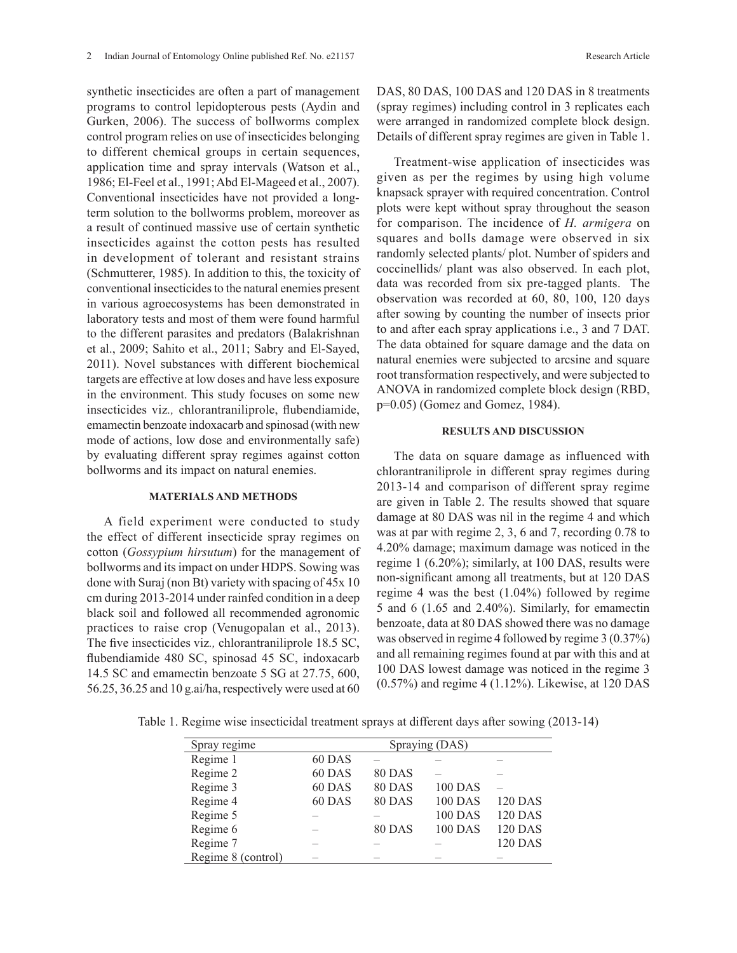synthetic insecticides are often a part of management programs to control lepidopterous pests (Aydin and Gurken, 2006). The success of bollworms complex control program relies on use of insecticides belonging to different chemical groups in certain sequences, application time and spray intervals (Watson et al., 1986; El-Feel et al., 1991; Abd El-Mageed et al., 2007). Conventional insecticides have not provided a longterm solution to the bollworms problem, moreover as a result of continued massive use of certain synthetic insecticides against the cotton pests has resulted in development of tolerant and resistant strains (Schmutterer, 1985). In addition to this, the toxicity of conventional insecticides to the natural enemies present in various agroecosystems has been demonstrated in laboratory tests and most of them were found harmful to the different parasites and predators (Balakrishnan et al., 2009; Sahito et al., 2011; Sabry and El-Sayed, 2011). Novel substances with different biochemical targets are effective at low doses and have less exposure in the environment. This study focuses on some new insecticides viz*.,* chlorantraniliprole, flubendiamide, emamectin benzoate indoxacarb and spinosad (with new mode of actions, low dose and environmentally safe) by evaluating different spray regimes against cotton bollworms and its impact on natural enemies.

## **MATERIALS AND METHODS**

A field experiment were conducted to study the effect of different insecticide spray regimes on cotton (*Gossypium hirsutum*) for the management of bollworms and its impact on under HDPS. Sowing was done with Suraj (non Bt) variety with spacing of 45x 10 cm during 2013-2014 under rainfed condition in a deep black soil and followed all recommended agronomic practices to raise crop (Venugopalan et al., 2013). The five insecticides viz*.,* chlorantraniliprole 18.5 SC, flubendiamide 480 SC, spinosad 45 SC, indoxacarb 14.5 SC and emamectin benzoate 5 SG at 27.75, 600, 56.25, 36.25 and 10 g.ai/ha, respectively were used at 60

Treatment-wise application of insecticides was given as per the regimes by using high volume knapsack sprayer with required concentration. Control plots were kept without spray throughout the season for comparison. The incidence of *H. armigera* on squares and bolls damage were observed in six randomly selected plants/ plot. Number of spiders and coccinellids/ plant was also observed. In each plot, data was recorded from six pre-tagged plants. The observation was recorded at 60, 80, 100, 120 days after sowing by counting the number of insects prior to and after each spray applications i.e., 3 and 7 DAT. The data obtained for square damage and the data on natural enemies were subjected to arcsine and square root transformation respectively, and were subjected to ANOVA in randomized complete block design (RBD, p=0.05) (Gomez and Gomez, 1984).

## **RESULTS AND DISCUSSION**

The data on square damage as influenced with chlorantraniliprole in different spray regimes during 2013-14 and comparison of different spray regime are given in Table 2. The results showed that square damage at 80 DAS was nil in the regime 4 and which was at par with regime 2, 3, 6 and 7, recording 0.78 to 4.20% damage; maximum damage was noticed in the regime 1 (6.20%); similarly, at 100 DAS, results were non-significant among all treatments, but at 120 DAS regime 4 was the best (1.04%) followed by regime 5 and 6 (1.65 and 2.40%). Similarly, for emamectin benzoate, data at 80 DAS showed there was no damage was observed in regime 4 followed by regime 3 (0.37%) and all remaining regimes found at par with this and at 100 DAS lowest damage was noticed in the regime 3 (0.57%) and regime 4 (1.12%). Likewise, at 120 DAS

Table 1. Regime wise insecticidal treatment sprays at different days after sowing (2013-14)

| Spray regime       |        |               | Spraying (DAS) |                |
|--------------------|--------|---------------|----------------|----------------|
| Regime 1           | 60 DAS |               |                |                |
| Regime 2           | 60 DAS | <b>80 DAS</b> |                |                |
| Regime 3           | 60 DAS | 80 DAS        | <b>100 DAS</b> |                |
| Regime 4           | 60 DAS | <b>80 DAS</b> | <b>100 DAS</b> | <b>120 DAS</b> |
| Regime 5           |        |               | <b>100 DAS</b> | <b>120 DAS</b> |
| Regime 6           |        | <b>80 DAS</b> | <b>100 DAS</b> | <b>120 DAS</b> |
| Regime 7           |        |               |                | <b>120 DAS</b> |
| Regime 8 (control) |        |               |                |                |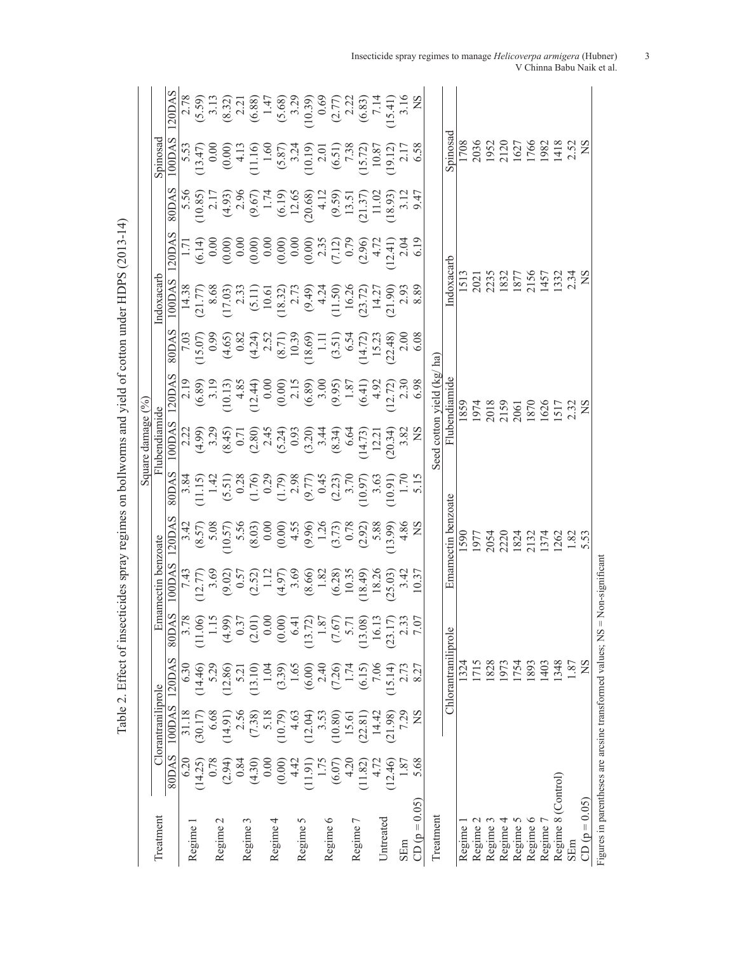|                                                             |         |                    |                     |                   |                                                                                                                                                                                                                                                                                                                                                 |                                                                                                                                                                                                                                                                                                                                         |                                                                                                                                                                                                                                                                                                               | Square damage $(%)$                                                                                                                                                                                         |                                                                                                                                                                                                                                                                                                                                   |                                                                                                                                                                                                                                                                                                                       |                                                                                                                                                                                                                                                                                                         |       |                                                                                                                                                                                                                                |                                                                                                                                                                                                                                                                            |                                                                                                                                                                                                                                                                                                                                   |
|-------------------------------------------------------------|---------|--------------------|---------------------|-------------------|-------------------------------------------------------------------------------------------------------------------------------------------------------------------------------------------------------------------------------------------------------------------------------------------------------------------------------------------------|-----------------------------------------------------------------------------------------------------------------------------------------------------------------------------------------------------------------------------------------------------------------------------------------------------------------------------------------|---------------------------------------------------------------------------------------------------------------------------------------------------------------------------------------------------------------------------------------------------------------------------------------------------------------|-------------------------------------------------------------------------------------------------------------------------------------------------------------------------------------------------------------|-----------------------------------------------------------------------------------------------------------------------------------------------------------------------------------------------------------------------------------------------------------------------------------------------------------------------------------|-----------------------------------------------------------------------------------------------------------------------------------------------------------------------------------------------------------------------------------------------------------------------------------------------------------------------|---------------------------------------------------------------------------------------------------------------------------------------------------------------------------------------------------------------------------------------------------------------------------------------------------------|-------|--------------------------------------------------------------------------------------------------------------------------------------------------------------------------------------------------------------------------------|----------------------------------------------------------------------------------------------------------------------------------------------------------------------------------------------------------------------------------------------------------------------------|-----------------------------------------------------------------------------------------------------------------------------------------------------------------------------------------------------------------------------------------------------------------------------------------------------------------------------------|
| Treatment                                                   |         | Clorantraniliprole |                     |                   | Emamectin benzoate                                                                                                                                                                                                                                                                                                                              |                                                                                                                                                                                                                                                                                                                                         |                                                                                                                                                                                                                                                                                                               | Flubendiamide                                                                                                                                                                                               |                                                                                                                                                                                                                                                                                                                                   |                                                                                                                                                                                                                                                                                                                       | Indoxacart                                                                                                                                                                                                                                                                                              |       |                                                                                                                                                                                                                                | Spinosa                                                                                                                                                                                                                                                                    |                                                                                                                                                                                                                                                                                                                                   |
|                                                             | 80DAS   | 100DAS             | 120DAS              | 80DAS             | LOODAS                                                                                                                                                                                                                                                                                                                                          | 120DA                                                                                                                                                                                                                                                                                                                                   | <b>SODAS</b>                                                                                                                                                                                                                                                                                                  | 100DAS                                                                                                                                                                                                      | 120DA                                                                                                                                                                                                                                                                                                                             | 80DAS                                                                                                                                                                                                                                                                                                                 | .00DAS                                                                                                                                                                                                                                                                                                  | 120DA | <b>SODAS</b>                                                                                                                                                                                                                   | 100DAS                                                                                                                                                                                                                                                                     | 120DAS                                                                                                                                                                                                                                                                                                                            |
|                                                             | 6.20    | 31.18              | 6.30                | 3.7               |                                                                                                                                                                                                                                                                                                                                                 |                                                                                                                                                                                                                                                                                                                                         |                                                                                                                                                                                                                                                                                                               |                                                                                                                                                                                                             |                                                                                                                                                                                                                                                                                                                                   |                                                                                                                                                                                                                                                                                                                       |                                                                                                                                                                                                                                                                                                         |       |                                                                                                                                                                                                                                |                                                                                                                                                                                                                                                                            |                                                                                                                                                                                                                                                                                                                                   |
| Regime                                                      | (14.25) | (30.17)            | (14.46)             | 11.06)            | $\begin{array}{l} 7.11 \\ 1.11 \\ -1.12 \\ -1.13 \\ -1.14 \\ -1.15 \\ -1.16 \\ -1.17 \\ -1.17 \\ -1.17 \\ -1.17 \\ -1.17 \\ -1.17 \\ -1.17 \\ -1.17 \\ -1.17 \\ -1.17 \\ -1.17 \\ -1.17 \\ -1.17 \\ -1.17 \\ -1.17 \\ -1.17 \\ -1.17 \\ -1.17 \\ -1.17 \\ -1.17 \\ -1.17 \\ -1.17 \\ -1.17 \\ -1.17 \\ -1.17 \\ -1.17 \\ -1.17 \\ -1.17 \\ -1.$ | $\begin{array}{c} 3.4, \\ (8.57) \\ (8.57) \\ (9.57) \\ (9.58) \\ (9.59) \\ (9.50) \\ (9.51) \\ (9.51) \\ (9.51) \\ (9.52) \\ (9.53) \\ (9.54) \\ (9.54) \\ (9.55) \\ (9.55) \\ (9.56) \\ (1,3) \\ (1,3) \\ (1,3) \\ (1,3) \\ (1,3) \\ (1,3) \\ (1,3) \\ (1,3) \\ (1,3) \\ (1,3) \\ (1,3) \\ (1,3) \\ (1,3) \\ (1,3) \\ (1,3) \\ (1,3)$ | $\begin{array}{c} 3.84 \\ 11.15 \\ 14.19 \\ 6.51 \\ 7.11 \\ 8.11 \\ 9.11 \\ 1.00 \\ 1.00 \\ 1.00 \\ 1.00 \\ 1.00 \\ 1.00 \\ 1.00 \\ 1.00 \\ 1.00 \\ 1.00 \\ 1.00 \\ 1.00 \\ 1.00 \\ 1.00 \\ 1.00 \\ 1.00 \\ 1.00 \\ 1.00 \\ 1.00 \\ 1.00 \\ 1.00 \\ 1.00 \\ 1.00 \\ 1.00 \\ 1.00 \\ 1.00 \\ 1.00 \\ 1.00 \\ $ | $(3, 3, 3, 3, 5)$<br>$(3, 3, 3, 3, 5)$<br>$(3, 3, 3, 3, 5)$<br>$(3, 3, 3, 5)$<br>$(3, 3, 3, 5)$<br>$(3, 3, 3, 5)$<br>$(3, 3, 3, 5)$<br>$(3, 3, 3, 5)$<br>$(3, 3, 3, 5)$<br>$(3, 3, 3, 5)$<br>$(3, 3, 3, 5)$ | $\begin{array}{c} 2.19 \\ (6.89) \\ (10.13) \\ (12.4) \\ (12.4) \\ (12.4) \\ (12.5) \\ (12.5) \\ (12.6) \\ (12.7) \\ (12.7) \\ (12.7) \\ (12.7) \\ (12.7) \\ (12.7) \\ (12.7) \\ (12.7) \\ (12.7) \\ (12.7) \\ (12.7) \\ (12.7) \\ (12.7) \\ (12.7) \\ (12.7) \\ (12.7) \\ (12.7) \\ (12.7) \\ (12.7) \\ (12.7) \\ (12.7) \\ (12$ | $\begin{array}{r} 7.03 \\ (15.07) \\ (15.08) \\ (15.09) \\ (15.01) \\ (15.01) \\ (15.02) \\ (15.03) \\ (15.03) \\ (15.03) \\ (15.03) \\ (15.03) \\ (15.03) \\ (15.03) \\ (15.03) \\ (15.03) \\ (15.03) \\ (15.03) \\ (15.03) \\ (15.03) \\ (15.03) \\ (15.03) \\ (15.03) \\ (15.03) \\ (15.03) \\ (15.03) \\ (15.03)$ | $\begin{array}{c} 14.38 \\ 21.77 \\ 8.68 \\ 23.31 \\ 14.27 \\ 14.27 \\ 14.27 \\ 14.27 \\ 14.27 \\ 14.27 \\ 14.27 \\ 14.27 \\ 14.27 \\ 14.27 \\ 14.27 \\ 14.27 \\ 14.27 \\ 24.38 \\ 8.89 \\ 8.89 \\ 8.89 \\ 8.89 \\ 8.89 \\ 8.89 \\ 8.89 \\ 8.89 \\ 8.89 \\ 8.89 \\ 8.89 \\ 8.89 \\ 8.89 \\ 8.89 \\ 8.8$ |       | $5.56$ $(10.85)$ $(10.85)$ $(10.85)$ $(10.85)$ $(10.85)$ $(10.85)$ $(10.85)$ $(10.85)$ $(10.85)$ $(10.85)$ $(10.85)$ $(10.85)$ $(10.85)$ $(10.85)$ $(10.85)$ $(10.85)$ $(10.85)$ $(10.85)$ $(10.85)$ $(10.85)$ $(10.85)$ $(10$ | $\begin{array}{c} 5.53\\ 13.47)\\ 0.00\\ 0.00\\ 0.01\\ 0.00\\ 0.01\\ 0.01\\ 0.01\\ 0.01\\ 0.01\\ 0.01\\ 0.01\\ 0.01\\ 0.01\\ 0.01\\ 0.01\\ 0.03\\ 0.03\\ 0.03\\ 0.03\\ 0.03\\ 0.03\\ 0.03\\ 0.03\\ 0.03\\ 0.03\\ 0.03\\ 0.03\\ 0.03\\ 0.03\\ 0.03\\ 0.03\\ 0.03\\ 0.03\\ $ | $\begin{array}{l} 2.78 \\ (5.59) \\ (8.31) \\ (8.32) \\ (1.11) \\ (1.12) \\ (1.13) \\ (1.14) \\ (1.15) \\ (1.15) \\ (1.16) \\ (1.17) \\ (1.18) \\ (1.19) \\ (1.10) \\ (1.11) \\ (1.10) \\ (1.11) \\ (1.10) \\ (1.11) \\ (1.10) \\ (1.11) \\ (1.11) \\ (1.12) \\ (1.13) \\ (1.14) \\ (1.15) \\ (1.11) \\ (1.12) \\ (1.13) \\ (1.1$ |
| $\mathbf{\sim}$<br>Regime                                   | 0.78    | 6.68               |                     | $\frac{115}{1}$   |                                                                                                                                                                                                                                                                                                                                                 |                                                                                                                                                                                                                                                                                                                                         |                                                                                                                                                                                                                                                                                                               |                                                                                                                                                                                                             |                                                                                                                                                                                                                                                                                                                                   |                                                                                                                                                                                                                                                                                                                       |                                                                                                                                                                                                                                                                                                         |       |                                                                                                                                                                                                                                |                                                                                                                                                                                                                                                                            |                                                                                                                                                                                                                                                                                                                                   |
|                                                             | (2.94)  | (14.91)            | (12.86)             | (4.99)            |                                                                                                                                                                                                                                                                                                                                                 |                                                                                                                                                                                                                                                                                                                                         |                                                                                                                                                                                                                                                                                                               |                                                                                                                                                                                                             |                                                                                                                                                                                                                                                                                                                                   |                                                                                                                                                                                                                                                                                                                       |                                                                                                                                                                                                                                                                                                         |       |                                                                                                                                                                                                                                |                                                                                                                                                                                                                                                                            |                                                                                                                                                                                                                                                                                                                                   |
| 3                                                           | 0.84    | 2.56               | 5.21                | 0.37              |                                                                                                                                                                                                                                                                                                                                                 |                                                                                                                                                                                                                                                                                                                                         |                                                                                                                                                                                                                                                                                                               |                                                                                                                                                                                                             |                                                                                                                                                                                                                                                                                                                                   |                                                                                                                                                                                                                                                                                                                       |                                                                                                                                                                                                                                                                                                         |       |                                                                                                                                                                                                                                |                                                                                                                                                                                                                                                                            |                                                                                                                                                                                                                                                                                                                                   |
| Regime                                                      | (4.30)  | (7.38)             | (13.10)             | (2.01)            |                                                                                                                                                                                                                                                                                                                                                 |                                                                                                                                                                                                                                                                                                                                         |                                                                                                                                                                                                                                                                                                               |                                                                                                                                                                                                             |                                                                                                                                                                                                                                                                                                                                   |                                                                                                                                                                                                                                                                                                                       |                                                                                                                                                                                                                                                                                                         |       |                                                                                                                                                                                                                                |                                                                                                                                                                                                                                                                            |                                                                                                                                                                                                                                                                                                                                   |
| 4                                                           | 0.00    | 5.18               | 1.04                | 0.0(              |                                                                                                                                                                                                                                                                                                                                                 |                                                                                                                                                                                                                                                                                                                                         |                                                                                                                                                                                                                                                                                                               |                                                                                                                                                                                                             |                                                                                                                                                                                                                                                                                                                                   |                                                                                                                                                                                                                                                                                                                       |                                                                                                                                                                                                                                                                                                         |       |                                                                                                                                                                                                                                |                                                                                                                                                                                                                                                                            |                                                                                                                                                                                                                                                                                                                                   |
| Regime                                                      | (0.00)  | (10.79)            | (3.39)              | (0.00)            |                                                                                                                                                                                                                                                                                                                                                 |                                                                                                                                                                                                                                                                                                                                         |                                                                                                                                                                                                                                                                                                               |                                                                                                                                                                                                             |                                                                                                                                                                                                                                                                                                                                   |                                                                                                                                                                                                                                                                                                                       |                                                                                                                                                                                                                                                                                                         |       |                                                                                                                                                                                                                                |                                                                                                                                                                                                                                                                            |                                                                                                                                                                                                                                                                                                                                   |
| n                                                           | 4.42    | 4.63               | 1.65                | 6.4               |                                                                                                                                                                                                                                                                                                                                                 |                                                                                                                                                                                                                                                                                                                                         |                                                                                                                                                                                                                                                                                                               |                                                                                                                                                                                                             |                                                                                                                                                                                                                                                                                                                                   |                                                                                                                                                                                                                                                                                                                       |                                                                                                                                                                                                                                                                                                         |       |                                                                                                                                                                                                                                |                                                                                                                                                                                                                                                                            |                                                                                                                                                                                                                                                                                                                                   |
| Regime                                                      | (11.91) | (12.04)            | (6.00)              | (13.72)           |                                                                                                                                                                                                                                                                                                                                                 |                                                                                                                                                                                                                                                                                                                                         |                                                                                                                                                                                                                                                                                                               |                                                                                                                                                                                                             |                                                                                                                                                                                                                                                                                                                                   |                                                                                                                                                                                                                                                                                                                       |                                                                                                                                                                                                                                                                                                         |       |                                                                                                                                                                                                                                |                                                                                                                                                                                                                                                                            |                                                                                                                                                                                                                                                                                                                                   |
|                                                             | 1.75    | 3.53               | 2.40                | 1.8               |                                                                                                                                                                                                                                                                                                                                                 |                                                                                                                                                                                                                                                                                                                                         |                                                                                                                                                                                                                                                                                                               |                                                                                                                                                                                                             |                                                                                                                                                                                                                                                                                                                                   |                                                                                                                                                                                                                                                                                                                       |                                                                                                                                                                                                                                                                                                         |       |                                                                                                                                                                                                                                |                                                                                                                                                                                                                                                                            |                                                                                                                                                                                                                                                                                                                                   |
| ∘<br>Regime                                                 | (6.07)  | (10.80)            | (7.26)              | (7.67)            |                                                                                                                                                                                                                                                                                                                                                 |                                                                                                                                                                                                                                                                                                                                         |                                                                                                                                                                                                                                                                                                               |                                                                                                                                                                                                             |                                                                                                                                                                                                                                                                                                                                   |                                                                                                                                                                                                                                                                                                                       |                                                                                                                                                                                                                                                                                                         |       |                                                                                                                                                                                                                                |                                                                                                                                                                                                                                                                            |                                                                                                                                                                                                                                                                                                                                   |
| Γ                                                           | 4.20    | 15.61              | 1.74                | 5.71              |                                                                                                                                                                                                                                                                                                                                                 |                                                                                                                                                                                                                                                                                                                                         |                                                                                                                                                                                                                                                                                                               |                                                                                                                                                                                                             |                                                                                                                                                                                                                                                                                                                                   |                                                                                                                                                                                                                                                                                                                       |                                                                                                                                                                                                                                                                                                         |       |                                                                                                                                                                                                                                |                                                                                                                                                                                                                                                                            |                                                                                                                                                                                                                                                                                                                                   |
| Regime                                                      | (11.82) | (22.81)            | (6.15)              | (13.08)           |                                                                                                                                                                                                                                                                                                                                                 |                                                                                                                                                                                                                                                                                                                                         |                                                                                                                                                                                                                                                                                                               |                                                                                                                                                                                                             |                                                                                                                                                                                                                                                                                                                                   |                                                                                                                                                                                                                                                                                                                       |                                                                                                                                                                                                                                                                                                         |       |                                                                                                                                                                                                                                |                                                                                                                                                                                                                                                                            |                                                                                                                                                                                                                                                                                                                                   |
| Untreated                                                   | 4.72    | 14.42              | 7.06                | 16.13             |                                                                                                                                                                                                                                                                                                                                                 |                                                                                                                                                                                                                                                                                                                                         |                                                                                                                                                                                                                                                                                                               |                                                                                                                                                                                                             |                                                                                                                                                                                                                                                                                                                                   |                                                                                                                                                                                                                                                                                                                       |                                                                                                                                                                                                                                                                                                         |       |                                                                                                                                                                                                                                |                                                                                                                                                                                                                                                                            |                                                                                                                                                                                                                                                                                                                                   |
|                                                             | (12.46) | (21.98)            | (15.14)             | (23.17)           |                                                                                                                                                                                                                                                                                                                                                 |                                                                                                                                                                                                                                                                                                                                         |                                                                                                                                                                                                                                                                                                               |                                                                                                                                                                                                             |                                                                                                                                                                                                                                                                                                                                   |                                                                                                                                                                                                                                                                                                                       |                                                                                                                                                                                                                                                                                                         |       |                                                                                                                                                                                                                                |                                                                                                                                                                                                                                                                            |                                                                                                                                                                                                                                                                                                                                   |
| SEm                                                         | 1.87    | 7.29               | 2.73                | $\frac{2.3}{7.0}$ |                                                                                                                                                                                                                                                                                                                                                 |                                                                                                                                                                                                                                                                                                                                         |                                                                                                                                                                                                                                                                                                               |                                                                                                                                                                                                             |                                                                                                                                                                                                                                                                                                                                   |                                                                                                                                                                                                                                                                                                                       |                                                                                                                                                                                                                                                                                                         |       |                                                                                                                                                                                                                                |                                                                                                                                                                                                                                                                            |                                                                                                                                                                                                                                                                                                                                   |
| $CD (p = 0.05)$                                             | 5.68    | SN                 | 8.27                |                   |                                                                                                                                                                                                                                                                                                                                                 |                                                                                                                                                                                                                                                                                                                                         |                                                                                                                                                                                                                                                                                                               |                                                                                                                                                                                                             |                                                                                                                                                                                                                                                                                                                                   |                                                                                                                                                                                                                                                                                                                       |                                                                                                                                                                                                                                                                                                         |       |                                                                                                                                                                                                                                |                                                                                                                                                                                                                                                                            |                                                                                                                                                                                                                                                                                                                                   |
| Treatment                                                   |         |                    |                     |                   |                                                                                                                                                                                                                                                                                                                                                 |                                                                                                                                                                                                                                                                                                                                         |                                                                                                                                                                                                                                                                                                               | Seed cotton yield $(kg/ha)$                                                                                                                                                                                 |                                                                                                                                                                                                                                                                                                                                   |                                                                                                                                                                                                                                                                                                                       |                                                                                                                                                                                                                                                                                                         |       |                                                                                                                                                                                                                                |                                                                                                                                                                                                                                                                            |                                                                                                                                                                                                                                                                                                                                   |
|                                                             |         |                    | Chlorantraniliprole |                   |                                                                                                                                                                                                                                                                                                                                                 | Emamectin benzoate                                                                                                                                                                                                                                                                                                                      |                                                                                                                                                                                                                                                                                                               |                                                                                                                                                                                                             | Flubendiamide                                                                                                                                                                                                                                                                                                                     |                                                                                                                                                                                                                                                                                                                       | Indoxacarb                                                                                                                                                                                                                                                                                              |       |                                                                                                                                                                                                                                | Spinosad                                                                                                                                                                                                                                                                   |                                                                                                                                                                                                                                                                                                                                   |
| Regime 1                                                    |         |                    | 1324                |                   |                                                                                                                                                                                                                                                                                                                                                 |                                                                                                                                                                                                                                                                                                                                         |                                                                                                                                                                                                                                                                                                               |                                                                                                                                                                                                             | 1859                                                                                                                                                                                                                                                                                                                              |                                                                                                                                                                                                                                                                                                                       | 1513                                                                                                                                                                                                                                                                                                    |       |                                                                                                                                                                                                                                | 1708                                                                                                                                                                                                                                                                       |                                                                                                                                                                                                                                                                                                                                   |
| Regime 2                                                    |         |                    | 1715                |                   |                                                                                                                                                                                                                                                                                                                                                 |                                                                                                                                                                                                                                                                                                                                         |                                                                                                                                                                                                                                                                                                               |                                                                                                                                                                                                             |                                                                                                                                                                                                                                                                                                                                   |                                                                                                                                                                                                                                                                                                                       |                                                                                                                                                                                                                                                                                                         |       |                                                                                                                                                                                                                                |                                                                                                                                                                                                                                                                            |                                                                                                                                                                                                                                                                                                                                   |
| Regime 3                                                    |         |                    | 1828                |                   |                                                                                                                                                                                                                                                                                                                                                 |                                                                                                                                                                                                                                                                                                                                         |                                                                                                                                                                                                                                                                                                               |                                                                                                                                                                                                             |                                                                                                                                                                                                                                                                                                                                   |                                                                                                                                                                                                                                                                                                                       |                                                                                                                                                                                                                                                                                                         |       |                                                                                                                                                                                                                                |                                                                                                                                                                                                                                                                            |                                                                                                                                                                                                                                                                                                                                   |
| Regime 4                                                    |         |                    | 1973                |                   |                                                                                                                                                                                                                                                                                                                                                 |                                                                                                                                                                                                                                                                                                                                         |                                                                                                                                                                                                                                                                                                               |                                                                                                                                                                                                             |                                                                                                                                                                                                                                                                                                                                   |                                                                                                                                                                                                                                                                                                                       |                                                                                                                                                                                                                                                                                                         |       |                                                                                                                                                                                                                                |                                                                                                                                                                                                                                                                            |                                                                                                                                                                                                                                                                                                                                   |
| Regime 5                                                    |         |                    | 1754                |                   |                                                                                                                                                                                                                                                                                                                                                 | 1590<br>1977<br>2054<br>1824<br>132                                                                                                                                                                                                                                                                                                     |                                                                                                                                                                                                                                                                                                               |                                                                                                                                                                                                             |                                                                                                                                                                                                                                                                                                                                   |                                                                                                                                                                                                                                                                                                                       | 2021<br>2235<br>1832<br>1877<br>2156                                                                                                                                                                                                                                                                    |       |                                                                                                                                                                                                                                |                                                                                                                                                                                                                                                                            |                                                                                                                                                                                                                                                                                                                                   |
| Regime 6                                                    |         |                    | 1893                |                   |                                                                                                                                                                                                                                                                                                                                                 |                                                                                                                                                                                                                                                                                                                                         |                                                                                                                                                                                                                                                                                                               |                                                                                                                                                                                                             | 1974<br>2018<br>2159<br>2061<br>1870                                                                                                                                                                                                                                                                                              |                                                                                                                                                                                                                                                                                                                       |                                                                                                                                                                                                                                                                                                         |       |                                                                                                                                                                                                                                |                                                                                                                                                                                                                                                                            |                                                                                                                                                                                                                                                                                                                                   |
| Regime 7                                                    |         |                    | 1403                |                   |                                                                                                                                                                                                                                                                                                                                                 | 1374                                                                                                                                                                                                                                                                                                                                    |                                                                                                                                                                                                                                                                                                               |                                                                                                                                                                                                             |                                                                                                                                                                                                                                                                                                                                   |                                                                                                                                                                                                                                                                                                                       | 1457                                                                                                                                                                                                                                                                                                    |       |                                                                                                                                                                                                                                |                                                                                                                                                                                                                                                                            |                                                                                                                                                                                                                                                                                                                                   |
| Regime 8 (Control)                                          |         |                    | 1348                |                   |                                                                                                                                                                                                                                                                                                                                                 | $\frac{1262}{1.83}$                                                                                                                                                                                                                                                                                                                     |                                                                                                                                                                                                                                                                                                               |                                                                                                                                                                                                             | 1626<br>1517<br>2.32                                                                                                                                                                                                                                                                                                              |                                                                                                                                                                                                                                                                                                                       | 1332<br>2.34                                                                                                                                                                                                                                                                                            |       |                                                                                                                                                                                                                                | 2036<br>1952<br>11627<br>1166<br>1182<br>1182<br>1182                                                                                                                                                                                                                      |                                                                                                                                                                                                                                                                                                                                   |
| SEm                                                         |         |                    | 1.87                |                   |                                                                                                                                                                                                                                                                                                                                                 |                                                                                                                                                                                                                                                                                                                                         |                                                                                                                                                                                                                                                                                                               |                                                                                                                                                                                                             |                                                                                                                                                                                                                                                                                                                                   |                                                                                                                                                                                                                                                                                                                       |                                                                                                                                                                                                                                                                                                         |       |                                                                                                                                                                                                                                |                                                                                                                                                                                                                                                                            |                                                                                                                                                                                                                                                                                                                                   |
| $CD (p = 0.05)$                                             |         |                    | SN                  |                   |                                                                                                                                                                                                                                                                                                                                                 |                                                                                                                                                                                                                                                                                                                                         |                                                                                                                                                                                                                                                                                                               |                                                                                                                                                                                                             | $\frac{S}{S}$                                                                                                                                                                                                                                                                                                                     |                                                                                                                                                                                                                                                                                                                       | $_{\rm ss}$                                                                                                                                                                                                                                                                                             |       |                                                                                                                                                                                                                                | $_{\rm ss}$                                                                                                                                                                                                                                                                |                                                                                                                                                                                                                                                                                                                                   |
| Figures in parentheses are arcsine transformed values; NS = |         |                    |                     |                   | Non-significant                                                                                                                                                                                                                                                                                                                                 |                                                                                                                                                                                                                                                                                                                                         |                                                                                                                                                                                                                                                                                                               |                                                                                                                                                                                                             |                                                                                                                                                                                                                                                                                                                                   |                                                                                                                                                                                                                                                                                                                       |                                                                                                                                                                                                                                                                                                         |       |                                                                                                                                                                                                                                |                                                                                                                                                                                                                                                                            |                                                                                                                                                                                                                                                                                                                                   |

Table 2. Effect of insecticides spray regimes on bollworms and yield of cotton under HDPS (2013-14) Table 2. Effect of insecticides spray regimes on bollworms and yield of cotton under HDPS (2013-14)

Insecticide spray regimes to manage *Helicoverpa armigera* (Hubner) 3 V Chinna Babu Naik et al.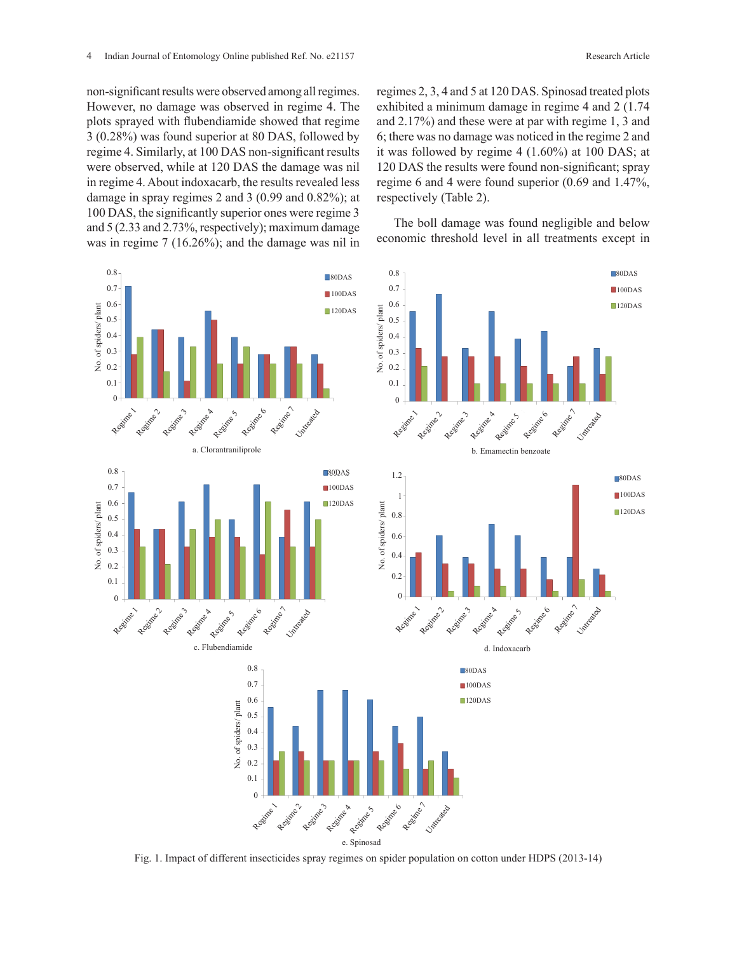non-significant results were observed among all regimes. However, no damage was observed in regime 4. The plots sprayed with flubendiamide showed that regime 3 (0.28%) was found superior at 80 DAS, followed by regime 4. Similarly, at 100 DAS non-significant results were observed, while at 120 DAS the damage was nil in regime 4. About indoxacarb, the results revealed less damage in spray regimes 2 and 3 (0.99 and 0.82%); at respectively (Table 2).  $100$  DAS, the significantly superior ones were regime 3  $\frac{100 \text{ pA}}{2}$  The holl damage was found negligible and l and 5 (2.33 and 2.73%, respectively); maximum damage was in regime  $7(16.26\%)$ ; and the damage was nil in economic threshold level in all treatments exc  $\frac{100 \text{ B}18}{2100 \text{ B}}$ , the significantly superfor ones were regimes  $\frac{100 \text{ B}}{2100 \text{ B}}$  The boll damage was found negligible and below

regimes 2, 3, 4 and 5 at 120 DAS. Spinosad treated plots exhibited a minimum damage in regime 4 and 2 (1.74 and 2.17%) and these were at par with regime 1, 3 and 6; there was no damage was noticed in the regime 2 and it was followed by regime 4 (1.60%) at 100 DAS; at 120 DAS the results were found non-significant; spray regime 6 and 4 were found superior (0.69 and 1.47%, respectively (Table 2).

economic threshold level in all treatments except in



Fig. 1. Impact of different insecticides spray regimes on spider population on cotton under HDPS (2013-14)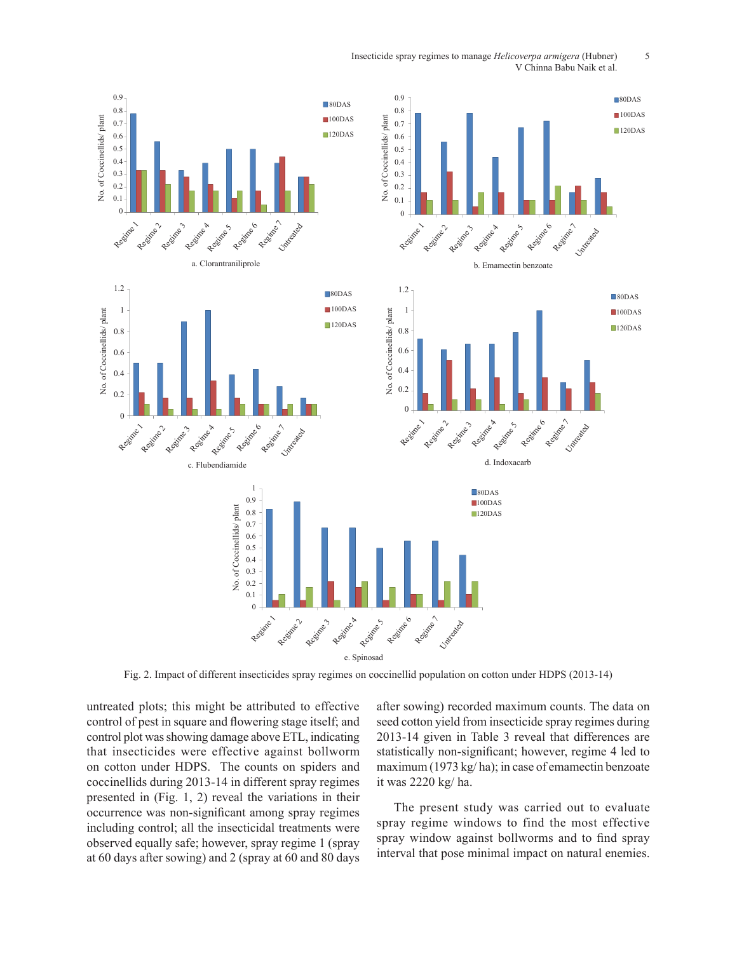Insecticide spray regimes to manage *Helicoverpa armigera* (Hubner) 5<br>V Chinna Babu Naik et al V Chinna Babu Naik et al.



Fig. 2. Impact of different insecticides spray regimes on coccinellid population on cotton under HDPS (2013-14)

untreated plots; this might be attributed to effective control of pest in square and flowering stage itself; and control plot was showing damage above ETL, indicating that insecticides were effective against bollworm on cotton under HDPS. The counts on spiders and coccinellids during 2013-14 in different spray regimes presented in (Fig. 1, 2) reveal the variations in their occurrence was non-significant among spray regimes including control; all the insecticidal treatments were observed equally safe; however, spray regime 1 (spray at 60 days after sowing) and 2 (spray at 60 and 80 days after sowing) recorded maximum counts. The data on seed cotton yield from insecticide spray regimes during 2013-14 given in Table 3 reveal that differences are statistically non-significant; however, regime 4 led to maximum (1973 kg/ ha); in case of emamectin benzoate it was 2220 kg/ ha.

The present study was carried out to evaluate spray regime windows to find the most effective spray window against bollworms and to find spray interval that pose minimal impact on natural enemies.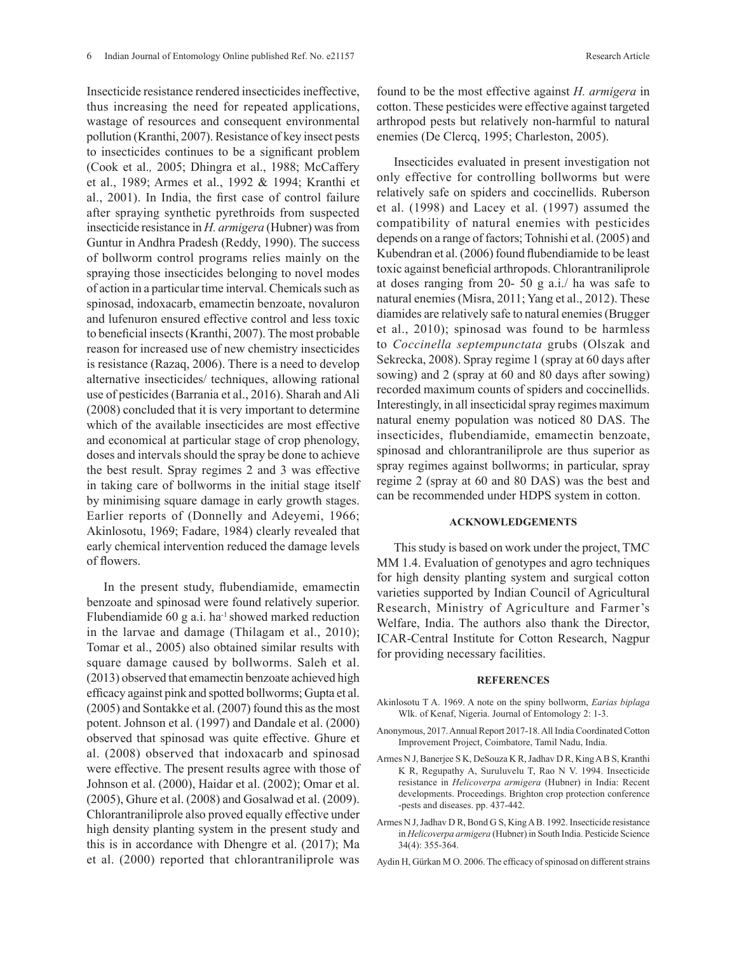Insecticide resistance rendered insecticides ineffective, thus increasing the need for repeated applications, wastage of resources and consequent environmental pollution (Kranthi, 2007). Resistance of key insect pests to insecticides continues to be a significant problem (Cook et al.*,* 2005; Dhingra et al., 1988; McCaffery et al., 1989; Armes et al., 1992 & 1994; Kranthi et al., 2001). In India, the first case of control failure after spraying synthetic pyrethroids from suspected insecticide resistance in *H. armigera* (Hubner) was from Guntur in Andhra Pradesh (Reddy, 1990). The success of bollworm control programs relies mainly on the spraying those insecticides belonging to novel modes of action in a particular time interval. Chemicals such as spinosad, indoxacarb, emamectin benzoate, novaluron and lufenuron ensured effective control and less toxic to beneficial insects (Kranthi, 2007). The most probable reason for increased use of new chemistry insecticides is resistance (Razaq, 2006). There is a need to develop alternative insecticides/ techniques, allowing rational use of pesticides (Barrania et al., 2016). Sharah and Ali (2008) concluded that it is very important to determine which of the available insecticides are most effective and economical at particular stage of crop phenology, doses and intervals should the spray be done to achieve the best result. Spray regimes 2 and 3 was effective in taking care of bollworms in the initial stage itself by minimising square damage in early growth stages. Earlier reports of (Donnelly and Adeyemi, 1966; Akinlosotu, 1969; Fadare, 1984) clearly revealed that early chemical intervention reduced the damage levels of flowers.

In the present study, flubendiamide, emamectin benzoate and spinosad were found relatively superior. Flubendiamide  $60$  g a.i. ha<sup>-1</sup> showed marked reduction in the larvae and damage (Thilagam et al., 2010); Tomar et al., 2005) also obtained similar results with square damage caused by bollworms. Saleh et al. (2013) observed that emamectin benzoate achieved high efficacy against pink and spotted bollworms; Gupta et al. (2005) and Sontakke et al. (2007) found this as the most potent. Johnson et al. (1997) and Dandale et al. (2000) observed that spinosad was quite effective. Ghure et al. (2008) observed that indoxacarb and spinosad were effective. The present results agree with those of Johnson et al. (2000), Haidar et al. (2002); Omar et al. (2005), Ghure et al. (2008) and Gosalwad et al. (2009). Chlorantraniliprole also proved equally effective under high density planting system in the present study and this is in accordance with Dhengre et al. (2017); Ma et al. (2000) reported that chlorantraniliprole was

found to be the most effective against *H. armigera* in cotton. These pesticides were effective against targeted arthropod pests but relatively non-harmful to natural enemies (De Clercq, 1995; Charleston, 2005).

Insecticides evaluated in present investigation not only effective for controlling bollworms but were relatively safe on spiders and coccinellids. Ruberson et al. (1998) and Lacey et al. (1997) assumed the compatibility of natural enemies with pesticides depends on a range of factors; Tohnishi et al. (2005) and Kubendran et al. (2006) found flubendiamide to be least toxic against beneficial arthropods. Chlorantraniliprole at doses ranging from 20- 50 g a.i./ ha was safe to natural enemies (Misra, 2011; Yang et al., 2012). These diamides are relatively safe to natural enemies (Brugger et al., 2010); spinosad was found to be harmless to *Coccinella septempunctata* grubs (Olszak and Sekrecka, 2008). Spray regime 1 (spray at 60 days after sowing) and 2 (spray at 60 and 80 days after sowing) recorded maximum counts of spiders and coccinellids. Interestingly, in all insecticidal spray regimes maximum natural enemy population was noticed 80 DAS. The insecticides, flubendiamide, emamectin benzoate, spinosad and chlorantraniliprole are thus superior as spray regimes against bollworms; in particular, spray regime 2 (spray at 60 and 80 DAS) was the best and can be recommended under HDPS system in cotton.

#### **ACKNOWLEDGEMENTS**

This study is based on work under the project, TMC MM 1.4. Evaluation of genotypes and agro techniques for high density planting system and surgical cotton varieties supported by Indian Council of Agricultural Research, Ministry of Agriculture and Farmer's Welfare, India. The authors also thank the Director, ICAR-Central Institute for Cotton Research, Nagpur for providing necessary facilities.

#### **REFERENCES**

- Akinlosotu T A. 1969. A note on the spiny bollworm, *Earias biplaga* Wlk. of Kenaf, Nigeria. Journal of Entomology 2: 1-3.
- Anonymous, 2017. Annual Report 2017-18. All India Coordinated Cotton Improvement Project, Coimbatore, Tamil Nadu, India.
- Armes N J, Banerjee S K, DeSouza K R, Jadhav D R, King A B S, Kranthi K R, Regupathy A, Suruluvelu T, Rao N V. 1994. Insecticide resistance in *Helicoverpa armigera* (Hubner) in India: Recent developments. Proceedings. Brighton crop protection conference -pests and diseases. pp. 437-442.
- Armes N J, Jadhav D R, Bond G S, King A B. 1992. Insecticide resistance in *Helicoverpa armigera* (Hubner) in South India. Pesticide Science 34(4): 355-364.

Aydin H, Gürkan M O. 2006. The efficacy of spinosad on different strains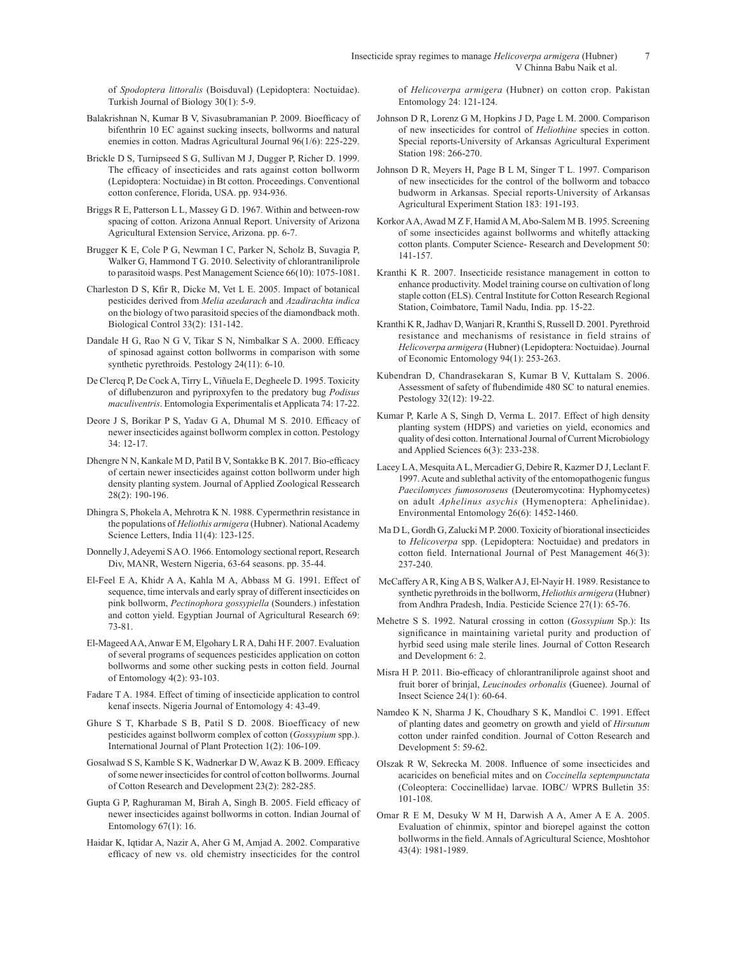of *Spodoptera littoralis* (Boisduval) (Lepidoptera: Noctuidae). Turkish Journal of Biology 30(1): 5-9.

- Balakrishnan N, Kumar B V, Sivasubramanian P. 2009. Bioefficacy of bifenthrin 10 EC against sucking insects, bollworms and natural enemies in cotton. Madras Agricultural Journal 96(1/6): 225-229.
- Brickle D S, Turnipseed S G, Sullivan M J, Dugger P, Richer D. 1999. The efficacy of insecticides and rats against cotton bollworm (Lepidoptera: Noctuidae) in Bt cotton. Proceedings. Conventional cotton conference, Florida, USA. pp. 934-936.
- Briggs R E, Patterson L L, Massey G D. 1967. Within and between-row spacing of cotton. Arizona Annual Report. University of Arizona Agricultural Extension Service, Arizona. pp. 6-7.
- Brugger K E, Cole P G, Newman I C, Parker N, Scholz B, Suvagia P, Walker G, Hammond T G. 2010. Selectivity of chlorantraniliprole to parasitoid wasps. Pest Management Science 66(10): 1075-1081.
- Charleston D S, Kfir R, Dicke M, Vet L E. 2005. Impact of botanical pesticides derived from *Melia azedarach* and *Azadirachta indica* on the biology of two parasitoid species of the diamondback moth. Biological Control 33(2): 131-142.
- Dandale H G, Rao N G V, Tikar S N, Nimbalkar S A. 2000. Efficacy of spinosad against cotton bollworms in comparison with some synthetic pyrethroids. Pestology 24(11): 6-10.
- De Clercq P, De Cock A, Tirry L, Viñuela E, Degheele D. 1995. Toxicity of diflubenzuron and pyriproxyfen to the predatory bug *Podisus maculiventris*. Entomologia Experimentalis et Applicata 74: 17-22.
- Deore J S, Borikar P S, Yadav G A, Dhumal M S. 2010. Efficacy of newer insecticides against bollworm complex in cotton. Pestology 34: 12-17.
- Dhengre N N, Kankale M D, Patil B V, Sontakke B K. 2017. Bio-efficacy of certain newer insecticides against cotton bollworm under high density planting system. Journal of Applied Zoological Ressearch 28(2): 190-196.
- Dhingra S, Phokela A, Mehrotra K N. 1988. Cypermethrin resistance in the populations of *Heliothis armigera* (Hubner). National Academy Science Letters, India 11(4): 123-125.
- Donnelly J, Adeyemi S A O. 1966. Entomology sectional report, Research Div, MANR, Western Nigeria, 63-64 seasons. pp. 35-44.
- El-Feel E A, Khidr A A, Kahla M A, Abbass M G. 1991. Effect of sequence, time intervals and early spray of different insecticides on pink bollworm, *Pectinophora gossypiella* (Sounders.) infestation and cotton yield. Egyptian Journal of Agricultural Research 69: 73-81.
- El-Mageed A A, Anwar E M, Elgohary L R A, Dahi H F. 2007. Evaluation of several programs of sequences pesticides application on cotton bollworms and some other sucking pests in cotton field. Journal of Entomology 4(2): 93-103.
- Fadare T A. 1984. Effect of timing of insecticide application to control kenaf insects. Nigeria Journal of Entomology 4: 43-49.
- Ghure S T, Kharbade S B, Patil S D. 2008. Bioefficacy of new pesticides against bollworm complex of cotton (*Gossypium* spp.). International Journal of Plant Protection 1(2): 106-109.
- Gosalwad S S, Kamble S K, Wadnerkar D W, Awaz K B. 2009. Efficacy of some newer insecticides for control of cotton bollworms. Journal of Cotton Research and Development 23(2): 282-285.
- Gupta G P, Raghuraman M, Birah A, Singh B. 2005. Field efficacy of newer insecticides against bollworms in cotton. Indian Journal of Entomology 67(1): 16.
- Haidar K, Iqtidar A, Nazir A, Aher G M, Amjad A. 2002. Comparative efficacy of new vs. old chemistry insecticides for the control

of *Helicoverpa armigera* (Hubner) on cotton crop. Pakistan Entomology 24: 121-124.

- Johnson D R, Lorenz G M, Hopkins J D, Page L M. 2000. Comparison of new insecticides for control of *Heliothine* species in cotton. Special reports-University of Arkansas Agricultural Experiment Station 198: 266-270.
- Johnson D R, Meyers H, Page B L M, Singer T L. 1997. Comparison of new insecticides for the control of the bollworm and tobacco budworm in Arkansas. Special reports-University of Arkansas Agricultural Experiment Station 183: 191-193.
- Korkor A A, Awad M Z F, Hamid A M, Abo-Salem M B. 1995. Screening of some insecticides against bollworms and whitefly attacking cotton plants. Computer Science- Research and Development 50: 141-157.
- Kranthi K R. 2007. Insecticide resistance management in cotton to enhance productivity. Model training course on cultivation of long staple cotton (ELS). Central Institute for Cotton Research Regional Station, Coimbatore, Tamil Nadu, India. pp. 15-22.
- Kranthi K R, Jadhav D, Wanjari R, Kranthi S, Russell D. 2001. Pyrethroid resistance and mechanisms of resistance in field strains of *Helicoverpa armigera* (Hubner) (Lepidoptera: Noctuidae). Journal of Economic Entomology 94(1): 253-263.
- Kubendran D, Chandrasekaran S, Kumar B V, Kuttalam S. 2006. Assessment of safety of flubendimide 480 SC to natural enemies. Pestology 32(12): 19-22.
- Kumar P, Karle A S, Singh D, Verma L. 2017. Effect of high density planting system (HDPS) and varieties on yield, economics and quality of desi cotton. International Journal of Current Microbiology and Applied Sciences 6(3): 233-238.
- Lacey L A, Mesquita A L, Mercadier G, Debire R, Kazmer D J, Leclant F. 1997. Acute and sublethal activity of the entomopathogenic fungus *Paecilomyces fumosoroseus* (Deuteromycotina: Hyphomycetes) on adult *Aphelinus asychis* (Hymenoptera: Aphelinidae). Environmental Entomology 26(6): 1452-1460.
- Ma D L, Gordh G, Zalucki M P. 2000. Toxicity of biorational insecticides to *Helicoverpa* spp. (Lepidoptera: Noctuidae) and predators in cotton field. International Journal of Pest Management 46(3): 237-240.
- McCaffery A R, King A B S, Walker A J, El‐Nayir H. 1989. Resistance to synthetic pyrethroids in the bollworm, *Heliothis armigera* (Hubner) from Andhra Pradesh, India. Pesticide Science 27(1): 65-76.
- Mehetre S S. 1992. Natural crossing in cotton (*Gossypium* Sp.): Its significance in maintaining varietal purity and production of hyrbid seed using male sterile lines. Journal of Cotton Research and Development 6: 2.
- Misra H P. 2011. Bio-efficacy of chlorantraniliprole against shoot and fruit borer of brinjal, *Leucinodes orbonalis* (Guenee). Journal of Insect Science 24(1): 60-64.
- Namdeo K N, Sharma J K, Choudhary S K, Mandloi C. 1991. Effect of planting dates and geometry on growth and yield of *Hirsutum* cotton under rainfed condition. Journal of Cotton Research and Development 5: 59-62.
- Olszak R W, Sekrecka M. 2008. Influence of some insecticides and acaricides on beneficial mites and on *Coccinella septempunctata* (Coleoptera: Coccinellidae) larvae. IOBC/ WPRS Bulletin 35: 101-108.
- Omar R E M, Desuky W M H, Darwish A A, Amer A E A. 2005. Evaluation of chinmix, spintor and biorepel against the cotton bollworms in the field. Annals of Agricultural Science, Moshtohor 43(4): 1981-1989.